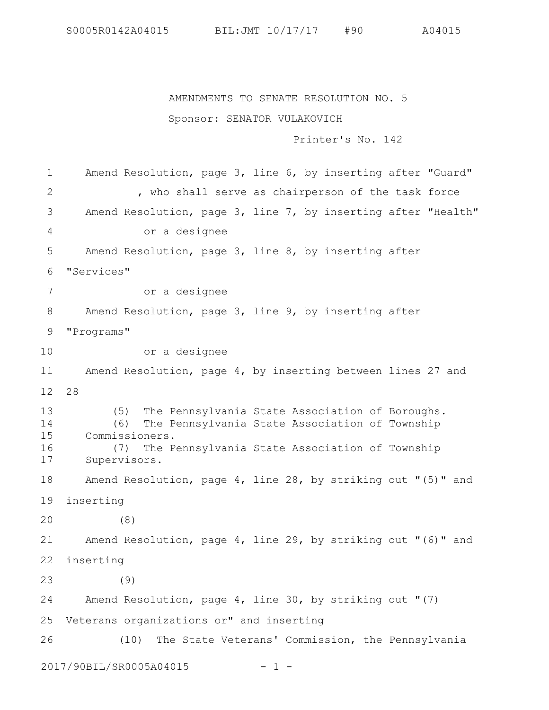S0005R0142A04015 BIL:JMT 10/17/17 #90 A04015

AMENDMENTS TO SENATE RESOLUTION NO. 5

## Sponsor: SENATOR VULAKOVICH

Printer's No. 142

Amend Resolution, page 3, line 6, by inserting after "Guard" , who shall serve as chairperson of the task force Amend Resolution, page 3, line 7, by inserting after "Health" or a designee Amend Resolution, page 3, line 8, by inserting after "Services" or a designee Amend Resolution, page 3, line 9, by inserting after "Programs" or a designee Amend Resolution, page 4, by inserting between lines 27 and 28 (5) The Pennsylvania State Association of Boroughs. (6) The Pennsylvania State Association of Township Commissioners. (7) The Pennsylvania State Association of Township Supervisors. Amend Resolution, page 4, line 28, by striking out "(5)" and inserting (8) Amend Resolution, page 4, line 29, by striking out "(6)" and inserting (9) Amend Resolution, page 4, line 30, by striking out "(7) 25 Veterans organizations or" and inserting (10) The State Veterans' Commission, the Pennsylvania 2017/90BIL/SR0005A04015 - 1 - 1 2 3 4 5 6 7 8 9 10 11 12 13 14 15 16 17 18 19 20 21 22 23 24 26